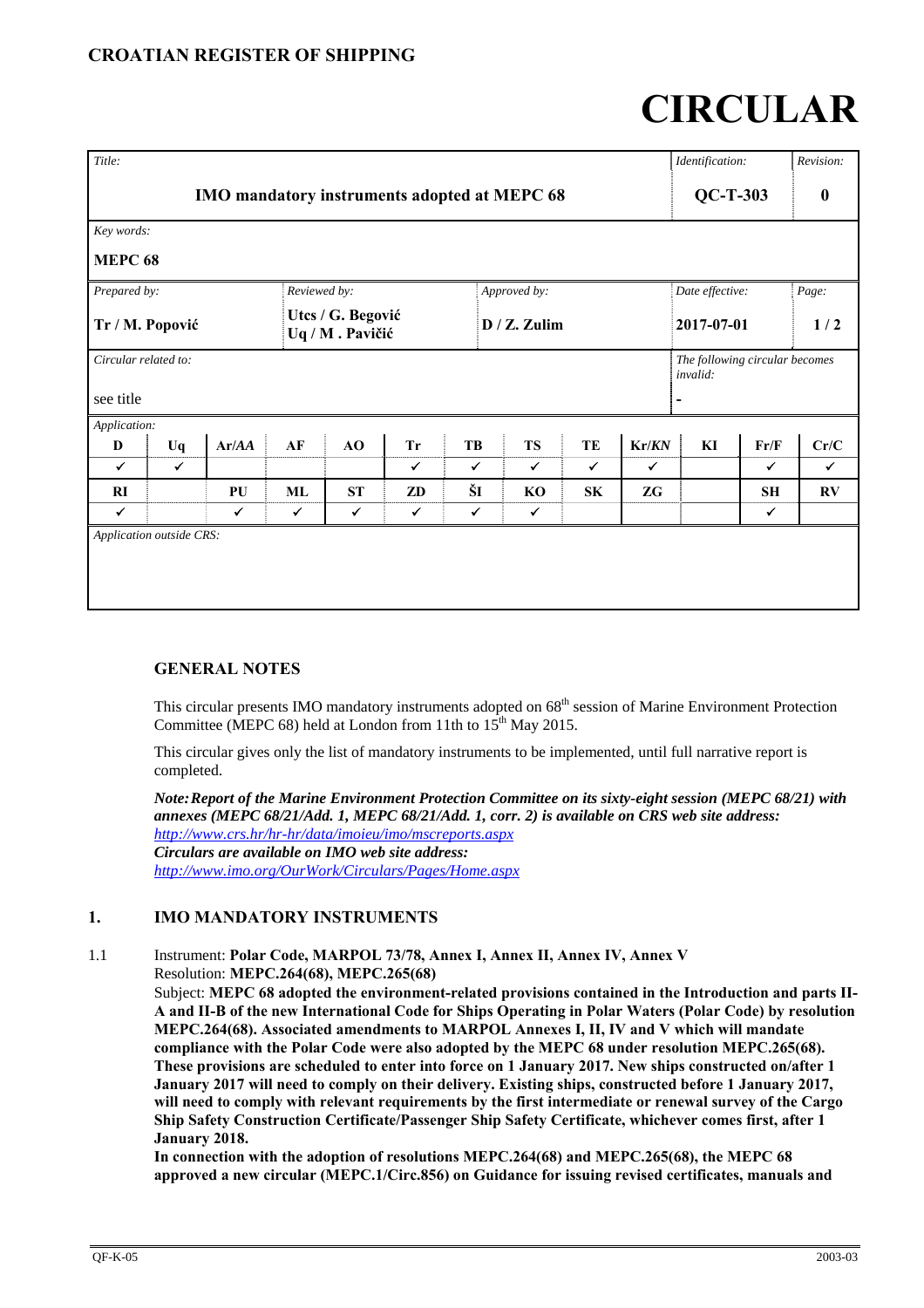# **CIRCULAR**

| Title:                                       |              |              |    |                                      |              |              |  |                 |              |       | Identification:                            |           | Revision:              |  |
|----------------------------------------------|--------------|--------------|----|--------------------------------------|--------------|--------------|--|-----------------|--------------|-------|--------------------------------------------|-----------|------------------------|--|
| IMO mandatory instruments adopted at MEPC 68 |              |              |    |                                      |              |              |  |                 |              |       | $QC-T-303$                                 |           | $\boldsymbol{0}$       |  |
| Key words:                                   |              |              |    |                                      |              |              |  |                 |              |       |                                            |           |                        |  |
| <b>MEPC 68</b>                               |              |              |    |                                      |              |              |  |                 |              |       |                                            |           |                        |  |
| Prepared by:                                 |              |              |    | Reviewed by:                         |              |              |  | Approved by:    |              |       | Date effective:                            |           | Page:                  |  |
| Tr / M. Popović                              |              |              |    | Utcs / G. Begović<br>Uq / M. Pavičić |              |              |  | $D / Z$ . Zulim |              |       | 2017-07-01                                 |           | 1/2                    |  |
| Circular related to:                         |              |              |    |                                      |              |              |  |                 |              |       | The following circular becomes<br>invalid: |           |                        |  |
| see title                                    |              |              |    |                                      |              |              |  |                 |              |       |                                            |           |                        |  |
| Application:                                 |              |              |    |                                      |              |              |  |                 |              |       |                                            |           |                        |  |
| D                                            | Uq           | Ar/AA        | AF | AO                                   | <b>Tr</b>    | TB           |  | <b>TS</b>       | TE           | Kr/KN | KI                                         | Fr/F      | Cr/C                   |  |
| $\checkmark$                                 | $\checkmark$ |              |    |                                      | ✔            | $\checkmark$ |  | ✔               | $\checkmark$ | ✓     |                                            | ✓         | $\checkmark$           |  |
| RI                                           |              | PU           | ML | <b>ST</b>                            | ZD           | ŠI           |  | KO              | <b>SK</b>    | ZG    |                                            | <b>SH</b> | $\mathbf{R}\mathbf{V}$ |  |
| $\checkmark$                                 |              | $\checkmark$ | ✔  | $\checkmark$                         | $\checkmark$ | $\checkmark$ |  | $\checkmark$    |              |       |                                            | ✓         |                        |  |
| Application outside CRS:                     |              |              |    |                                      |              |              |  |                 |              |       |                                            |           |                        |  |

# **GENERAL NOTES**

This circular presents IMO mandatory instruments adopted on 68<sup>th</sup> session of Marine Environment Protection Committee (MEPC 68) held at London from 11th to  $15^{th}$  May 2015.

This circular gives only the list of mandatory instruments to be implemented, until full narrative report is completed.

*Note: Report of the Marine Environment Protection Committee on its sixty-eight session (MEPC 68/21) with annexes (MEPC 68/21/Add. 1, MEPC 68/21/Add. 1, corr. 2) is available on CRS web site address: http://www.crs.hr/hr-hr/data/imoieu/imo/mscreports.aspx Circulars are available on IMO web site address: http://www.imo.org/OurWork/Circulars/Pages/Home.aspx*

# **1. IMO MANDATORY INSTRUMENTS**

1.1 Instrument: **Polar Code, MARPOL 73/78, Annex I, Annex II, Annex IV, Annex V** Resolution: **MEPC.264(68), MEPC.265(68)** 

Subject: **MEPC 68 adopted the environment-related provisions contained in the Introduction and parts II-A and II-B of the new International Code for Ships Operating in Polar Waters (Polar Code) by resolution MEPC.264(68). Associated amendments to MARPOL Annexes I, II, IV and V which will mandate compliance with the Polar Code were also adopted by the MEPC 68 under resolution MEPC.265(68). These provisions are scheduled to enter into force on 1 January 2017. New ships constructed on/after 1 January 2017 will need to comply on their delivery. Existing ships, constructed before 1 January 2017, will need to comply with relevant requirements by the first intermediate or renewal survey of the Cargo Ship Safety Construction Certificate/Passenger Ship Safety Certificate, whichever comes first, after 1 January 2018.** 

**In connection with the adoption of resolutions MEPC.264(68) and MEPC.265(68), the MEPC 68 approved a new circular (MEPC.1/Circ.856) on Guidance for issuing revised certificates, manuals and**